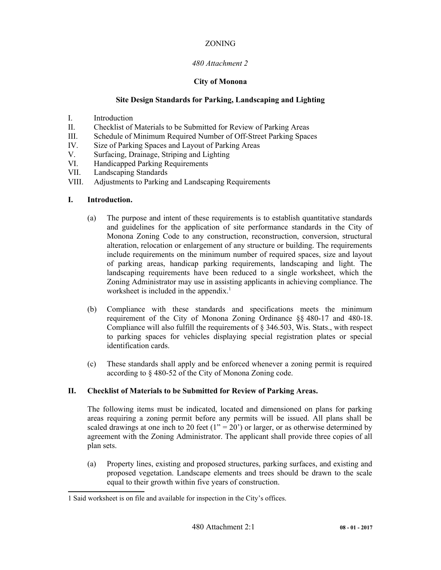# *480 Attachment 2*

# **City of Monona**

# **Site Design Standards for Parking, Landscaping and Lighting**

- I. Introduction
- II. Checklist of Materials to be Submitted for Review of Parking Areas
- III. Schedule of Minimum Required Number of Off-Street Parking Spaces
- IV. Size of Parking Spaces and Layout of Parking Areas
- V. Surfacing, Drainage, Striping and Lighting
- VI. Handicapped Parking Requirements
- VII. Landscaping Standards
- VIII. Adjustments to Parking and Landscaping Requirements

# **I. Introduction.**

- (a) The purpose and intent of these requirements is to establish quantitative standards and guidelines for the application of site performance standards in the City of Monona Zoning Code to any construction, reconstruction, conversion, structural alteration, relocation or enlargement of any structure or building. The requirements include requirements on the minimum number of required spaces, size and layout of parking areas, handicap parking requirements, landscaping and light. The landscaping requirements have been reduced to a single worksheet, which the Zoning Administrator may use in assisting applicants in achieving compliance. The worksheet is included in the appendix.<sup>[1](#page-0-0)</sup>
- (b) Compliance with these standards and specifications meets the minimum requirement of the City of Monona Zoning Ordinance §§ 480-17 and 480-18. Compliance will also fulfill the requirements of § 346.503, Wis. Stats., with respect to parking spaces for vehicles displaying special registration plates or special identification cards.
- (c) These standards shall apply and be enforced whenever a zoning permit is required according to § 480-52 of the City of Monona Zoning code.

# **II. Checklist of Materials to be Submitted for Review of Parking Areas.**

The following items must be indicated, located and dimensioned on plans for parking areas requiring a zoning permit before any permits will be issued. All plans shall be scaled drawings at one inch to 20 feet  $(1<sup>o</sup> = 20<sup>o</sup>)$  or larger, or as otherwise determined by agreement with the Zoning Administrator. The applicant shall provide three copies of all plan sets.

(a) Property lines, existing and proposed structures, parking surfaces, and existing and proposed vegetation. Landscape elements and trees should be drawn to the scale equal to their growth within five years of construction.

<span id="page-0-0"></span><sup>1</sup> Said worksheet is on file and available for inspection in the City's offices.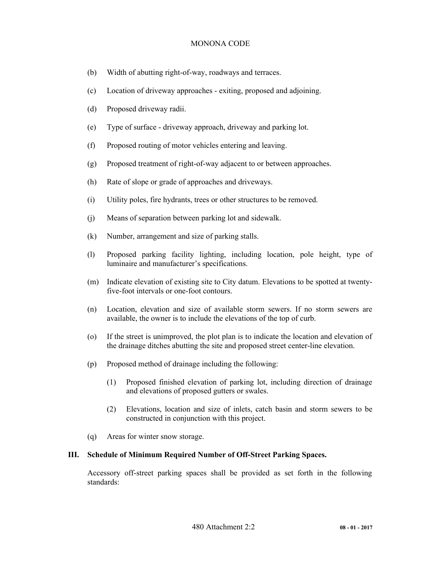- (b) Width of abutting right-of-way, roadways and terraces.
- (c) Location of driveway approaches exiting, proposed and adjoining.
- (d) Proposed driveway radii.
- (e) Type of surface driveway approach, driveway and parking lot.
- (f) Proposed routing of motor vehicles entering and leaving.
- (g) Proposed treatment of right-of-way adjacent to or between approaches.
- (h) Rate of slope or grade of approaches and driveways.
- (i) Utility poles, fire hydrants, trees or other structures to be removed.
- (j) Means of separation between parking lot and sidewalk.
- (k) Number, arrangement and size of parking stalls.
- (l) Proposed parking facility lighting, including location, pole height, type of luminaire and manufacturer's specifications.
- (m) Indicate elevation of existing site to City datum. Elevations to be spotted at twentyfive-foot intervals or one-foot contours.
- (n) Location, elevation and size of available storm sewers. If no storm sewers are available, the owner is to include the elevations of the top of curb.
- (o) If the street is unimproved, the plot plan is to indicate the location and elevation of the drainage ditches abutting the site and proposed street center-line elevation.
- (p) Proposed method of drainage including the following:
	- (1) Proposed finished elevation of parking lot, including direction of drainage and elevations of proposed gutters or swales.
	- (2) Elevations, location and size of inlets, catch basin and storm sewers to be constructed in conjunction with this project.
- (q) Areas for winter snow storage.

## **III. Schedule of Minimum Required Number of Off-Street Parking Spaces.**

Accessory off-street parking spaces shall be provided as set forth in the following standards: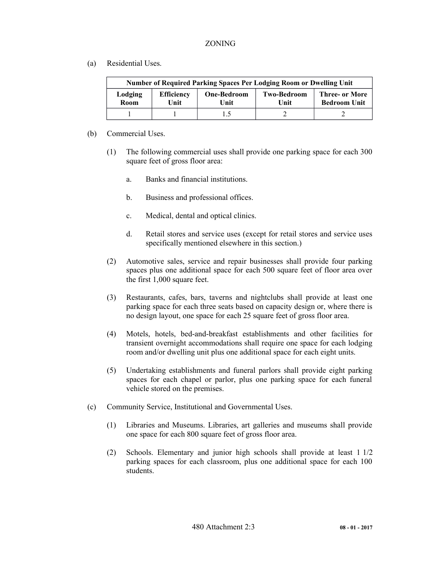(a) Residential Uses.

| Number of Required Parking Spaces Per Lodging Room or Dwelling Unit |                           |                            |                            |                                       |  |  |  |  |
|---------------------------------------------------------------------|---------------------------|----------------------------|----------------------------|---------------------------------------|--|--|--|--|
| Lodging<br>Room                                                     | <b>Efficiency</b><br>Unit | <b>One-Bedroom</b><br>Unit | <b>Two-Bedroom</b><br>Unit | Three- or More<br><b>Bedroom Unit</b> |  |  |  |  |
|                                                                     |                           |                            |                            |                                       |  |  |  |  |

- (b) Commercial Uses.
	- (1) The following commercial uses shall provide one parking space for each 300 square feet of gross floor area:
		- a. Banks and financial institutions.
		- b. Business and professional offices.
		- c. Medical, dental and optical clinics.
		- d. Retail stores and service uses (except for retail stores and service uses specifically mentioned elsewhere in this section.)
	- (2) Automotive sales, service and repair businesses shall provide four parking spaces plus one additional space for each 500 square feet of floor area over the first 1,000 square feet.
	- (3) Restaurants, cafes, bars, taverns and nightclubs shall provide at least one parking space for each three seats based on capacity design or, where there is no design layout, one space for each 25 square feet of gross floor area.
	- (4) Motels, hotels, bed-and-breakfast establishments and other facilities for transient overnight accommodations shall require one space for each lodging room and/or dwelling unit plus one additional space for each eight units.
	- (5) Undertaking establishments and funeral parlors shall provide eight parking spaces for each chapel or parlor, plus one parking space for each funeral vehicle stored on the premises.
- (c) Community Service, Institutional and Governmental Uses.
	- (1) Libraries and Museums. Libraries, art galleries and museums shall provide one space for each 800 square feet of gross floor area.
	- (2) Schools. Elementary and junior high schools shall provide at least 1 1/2 parking spaces for each classroom, plus one additional space for each 100 students.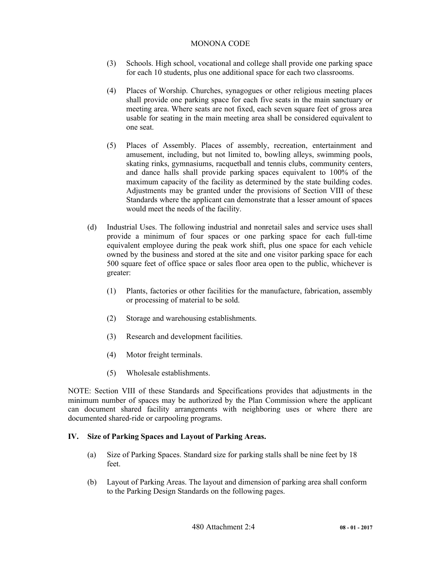- (3) Schools. High school, vocational and college shall provide one parking space for each 10 students, plus one additional space for each two classrooms.
- (4) Places of Worship. Churches, synagogues or other religious meeting places shall provide one parking space for each five seats in the main sanctuary or meeting area. Where seats are not fixed, each seven square feet of gross area usable for seating in the main meeting area shall be considered equivalent to one seat.
- (5) Places of Assembly. Places of assembly, recreation, entertainment and amusement, including, but not limited to, bowling alleys, swimming pools, skating rinks, gymnasiums, racquetball and tennis clubs, community centers, and dance halls shall provide parking spaces equivalent to 100% of the maximum capacity of the facility as determined by the state building codes. Adjustments may be granted under the provisions of Section VIII of these Standards where the applicant can demonstrate that a lesser amount of spaces would meet the needs of the facility.
- (d) Industrial Uses. The following industrial and nonretail sales and service uses shall provide a minimum of four spaces or one parking space for each full-time equivalent employee during the peak work shift, plus one space for each vehicle owned by the business and stored at the site and one visitor parking space for each 500 square feet of office space or sales floor area open to the public, whichever is greater:
	- (1) Plants, factories or other facilities for the manufacture, fabrication, assembly or processing of material to be sold.
	- (2) Storage and warehousing establishments.
	- (3) Research and development facilities.
	- (4) Motor freight terminals.
	- (5) Wholesale establishments.

NOTE: Section VIII of these Standards and Specifications provides that adjustments in the minimum number of spaces may be authorized by the Plan Commission where the applicant can document shared facility arrangements with neighboring uses or where there are documented shared-ride or carpooling programs.

## **IV. Size of Parking Spaces and Layout of Parking Areas.**

- (a) Size of Parking Spaces. Standard size for parking stalls shall be nine feet by 18 feet.
- (b) Layout of Parking Areas. The layout and dimension of parking area shall conform to the Parking Design Standards on the following pages.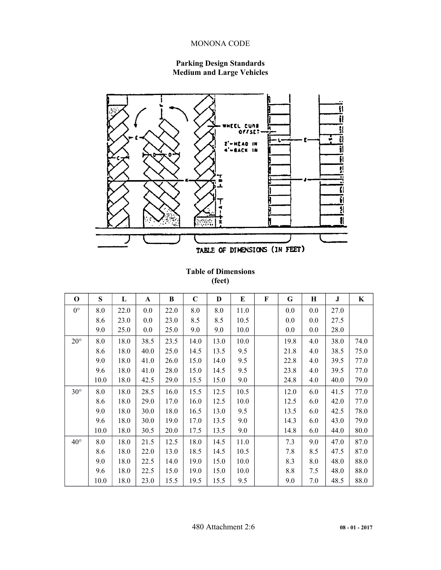# **Parking Design Standards Medium and Large Vehicles**



**Table of Dimensions (feet)**

| $\Omega$     | S    | L    | A    | B    | $\mathbf C$ | D    | E    | F | G    | H   | J    | K    |
|--------------|------|------|------|------|-------------|------|------|---|------|-----|------|------|
| $0^{\circ}$  | 8.0  | 22.0 | 0.0  | 22.0 | 8.0         | 8.0  | 11.0 |   | 0.0  | 0.0 | 27.0 |      |
|              | 8.6  | 23.0 | 0.0  | 23.0 | 8.5         | 8.5  | 10.5 |   | 0.0  | 0.0 | 27.5 |      |
|              | 9.0  | 25.0 | 0.0  | 25.0 | 9.0         | 9.0  | 10.0 |   | 0.0  | 0.0 | 28.0 |      |
| $20^{\circ}$ | 8.0  | 18.0 | 38.5 | 23.5 | 14.0        | 13.0 | 10.0 |   | 19.8 | 4.0 | 38.0 | 74.0 |
|              | 8.6  | 18.0 | 40.0 | 25.0 | 14.5        | 13.5 | 9.5  |   | 21.8 | 4.0 | 38.5 | 75.0 |
|              | 9.0  | 18.0 | 41.0 | 26.0 | 15.0        | 14.0 | 9.5  |   | 22.8 | 4.0 | 39.5 | 77.0 |
|              | 9.6  | 18.0 | 41.0 | 28.0 | 15.0        | 14.5 | 9.5  |   | 23.8 | 4.0 | 39.5 | 77.0 |
|              | 10.0 | 18.0 | 42.5 | 29.0 | 15.5        | 15.0 | 9.0  |   | 24.8 | 4.0 | 40.0 | 79.0 |
| $30^\circ$   | 8.0  | 18.0 | 28.5 | 16.0 | 15.5        | 12.5 | 10.5 |   | 12.0 | 6.0 | 41.5 | 77.0 |
|              | 8.6  | 18.0 | 29.0 | 17.0 | 16.0        | 12.5 | 10.0 |   | 12.5 | 6.0 | 42.0 | 77.0 |
|              | 9.0  | 18.0 | 30.0 | 18.0 | 16.5        | 13.0 | 9.5  |   | 13.5 | 6.0 | 42.5 | 78.0 |
|              | 9.6  | 18.0 | 30.0 | 19.0 | 17.0        | 13.5 | 9.0  |   | 14.3 | 6.0 | 43.0 | 79.0 |
|              | 10.0 | 18.0 | 30.5 | 20.0 | 17.5        | 13.5 | 9.0  |   | 14.8 | 6.0 | 44.0 | 80.0 |
| $40^{\circ}$ | 8.0  | 18.0 | 21.5 | 12.5 | 18.0        | 14.5 | 11.0 |   | 7.3  | 9.0 | 47.0 | 87.0 |
|              | 8.6  | 18.0 | 22.0 | 13.0 | 18.5        | 14.5 | 10.5 |   | 7.8  | 8.5 | 47.5 | 87.0 |
|              | 9.0  | 18.0 | 22.5 | 14.0 | 19.0        | 15.0 | 10.0 |   | 8.3  | 8.0 | 48.0 | 88.0 |
|              | 9.6  | 18.0 | 22.5 | 15.0 | 19.0        | 15.0 | 10.0 |   | 8.8  | 7.5 | 48.0 | 88.0 |
|              | 10.0 | 18.0 | 23.0 | 15.5 | 19.5        | 15.5 | 9.5  |   | 9.0  | 7.0 | 48.5 | 88.0 |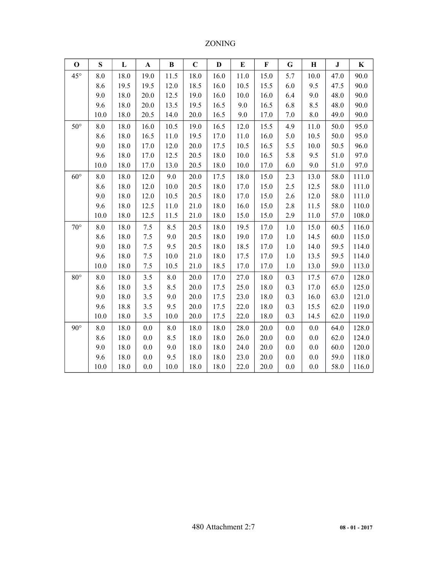| $\mathbf 0$  | S    | L    | $\mathbf A$ | $\bf{B}$ | $\mathbf C$ | D    | E    | F    | G       | $\mathbf H$ | ${\bf J}$ | K     |
|--------------|------|------|-------------|----------|-------------|------|------|------|---------|-------------|-----------|-------|
| $45^{\circ}$ | 8.0  | 18.0 | 19.0        | 11.5     | 18.0        | 16.0 | 11.0 | 15.0 | 5.7     | 10.0        | 47.0      | 90.0  |
|              | 8.6  | 19.5 | 19.5        | 12.0     | 18.5        | 16.0 | 10.5 | 15.5 | 6.0     | 9.5         | 47.5      | 90.0  |
|              | 9.0  | 18.0 | 20.0        | 12.5     | 19.0        | 16.0 | 10.0 | 16.0 | 6.4     | 9.0         | 48.0      | 90.0  |
|              | 9.6  | 18.0 | 20.0        | 13.5     | 19.5        | 16.5 | 9.0  | 16.5 | 6.8     | 8.5         | 48.0      | 90.0  |
|              | 10.0 | 18.0 | 20.5        | 14.0     | 20.0        | 16.5 | 9.0  | 17.0 | 7.0     | $8.0\,$     | 49.0      | 90.0  |
| $50^{\circ}$ | 8.0  | 18.0 | 16.0        | 10.5     | 19.0        | 16.5 | 12.0 | 15.5 | 4.9     | 11.0        | 50.0      | 95.0  |
|              | 8.6  | 18.0 | 16.5        | 11.0     | 19.5        | 17.0 | 11.0 | 16.0 | 5.0     | 10.5        | 50.0      | 95.0  |
|              | 9.0  | 18.0 | 17.0        | 12.0     | 20.0        | 17.5 | 10.5 | 16.5 | 5.5     | 10.0        | 50.5      | 96.0  |
|              | 9.6  | 18.0 | 17.0        | 12.5     | 20.5        | 18.0 | 10.0 | 16.5 | 5.8     | 9.5         | 51.0      | 97.0  |
|              | 10.0 | 18.0 | 17.0        | 13.0     | 20.5        | 18.0 | 10.0 | 17.0 | 6.0     | 9.0         | 51.0      | 97.0  |
| $60^\circ$   | 8.0  | 18.0 | 12.0        | 9.0      | 20.0        | 17.5 | 18.0 | 15.0 | 2.3     | 13.0        | 58.0      | 111.0 |
|              | 8.6  | 18.0 | 12.0        | 10.0     | 20.5        | 18.0 | 17.0 | 15.0 | 2.5     | 12.5        | 58.0      | 111.0 |
|              | 9.0  | 18.0 | 12.0        | 10.5     | 20.5        | 18.0 | 17.0 | 15.0 | 2.6     | 12.0        | 58.0      | 111.0 |
|              | 9.6  | 18.0 | 12.5        | $11.0$   | 21.0        | 18.0 | 16.0 | 15.0 | 2.8     | 11.5        | 58.0      | 110.0 |
|              | 10.0 | 18.0 | 12.5        | 11.5     | 21.0        | 18.0 | 15.0 | 15.0 | 2.9     | 11.0        | 57.0      | 108.0 |
| $70^{\circ}$ | 8.0  | 18.0 | 7.5         | 8.5      | 20.5        | 18.0 | 19.5 | 17.0 | 1.0     | 15.0        | 60.5      | 116.0 |
|              | 8.6  | 18.0 | 7.5         | 9.0      | 20.5        | 18.0 | 19.0 | 17.0 | 1.0     | 14.5        | 60.0      | 115.0 |
|              | 9.0  | 18.0 | 7.5         | 9.5      | 20.5        | 18.0 | 18.5 | 17.0 | 1.0     | 14.0        | 59.5      | 114.0 |
|              | 9.6  | 18.0 | 7.5         | $10.0\,$ | 21.0        | 18.0 | 17.5 | 17.0 | 1.0     | 13.5        | 59.5      | 114.0 |
|              | 10.0 | 18.0 | 7.5         | 10.5     | 21.0        | 18.5 | 17.0 | 17.0 | 1.0     | 13.0        | 59.0      | 113.0 |
| $80^{\circ}$ | 8.0  | 18.0 | 3.5         | 8.0      | 20.0        | 17.0 | 27.0 | 18.0 | 0.3     | 17.5        | 67.0      | 128.0 |
|              | 8.6  | 18.0 | 3.5         | 8.5      | 20.0        | 17.5 | 25.0 | 18.0 | 0.3     | 17.0        | 65.0      | 125.0 |
|              | 9.0  | 18.0 | 3.5         | 9.0      | 20.0        | 17.5 | 23.0 | 18.0 | 0.3     | 16.0        | 63.0      | 121.0 |
|              | 9.6  | 18.8 | 3.5         | 9.5      | 20.0        | 17.5 | 22.0 | 18.0 | 0.3     | 15.5        | 62.0      | 119.0 |
|              | 10.0 | 18.0 | 3.5         | 10.0     | 20.0        | 17.5 | 22.0 | 18.0 | 0.3     | 14.5        | 62.0      | 119.0 |
| $90^\circ$   | 8.0  | 18.0 | $0.0\,$     | 8.0      | 18.0        | 18.0 | 28.0 | 20.0 | 0.0     | 0.0         | 64.0      | 128.0 |
|              | 8.6  | 18.0 | $0.0\,$     | 8.5      | 18.0        | 18.0 | 26.0 | 20.0 | 0.0     | 0.0         | 62.0      | 124.0 |
|              | 9.0  | 18.0 | $0.0\,$     | 9.0      | 18.0        | 18.0 | 24.0 | 20.0 | 0.0     | 0.0         | 60.0      | 120.0 |
|              | 9.6  | 18.0 | 0.0         | 9.5      | 18.0        | 18.0 | 23.0 | 20.0 | 0.0     | 0.0         | 59.0      | 118.0 |
|              | 10.0 | 18.0 | $0.0\,$     | $10.0\,$ | 18.0        | 18.0 | 22.0 | 20.0 | $0.0\,$ | $0.0\,$     | 58.0      | 116.0 |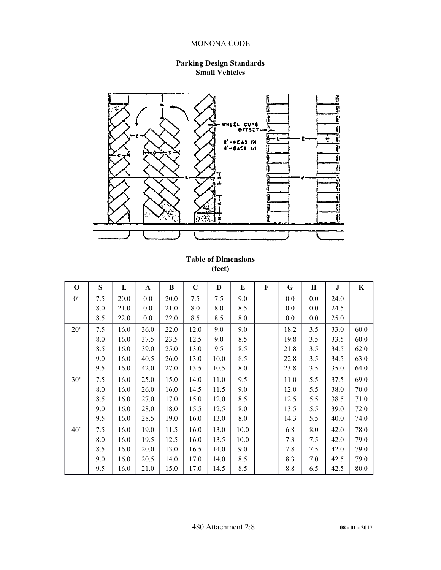## **Parking Design Standards Small Vehicles**



# **Table of Dimensions (feet)**

| $\mathbf 0$  | S   | L    | A    | B    | $\mathbf C$ | D    | E    | $\mathbf F$ | G    | Н   | J    | K    |
|--------------|-----|------|------|------|-------------|------|------|-------------|------|-----|------|------|
| $0^{\circ}$  | 7.5 | 20.0 | 0.0  | 20.0 | 7.5         | 7.5  | 9.0  |             | 0.0  | 0.0 | 24.0 |      |
|              | 8.0 | 21.0 | 0.0  | 21.0 | 8.0         | 8.0  | 8.5  |             | 0.0  | 0.0 | 24.5 |      |
|              | 8.5 | 22.0 | 0.0  | 22.0 | 8.5         | 8.5  | 8.0  |             | 0.0  | 0.0 | 25.0 |      |
| $20^{\circ}$ | 7.5 | 16.0 | 36.0 | 22.0 | 12.0        | 9.0  | 9.0  |             | 18.2 | 3.5 | 33.0 | 60.0 |
|              | 8.0 | 16.0 | 37.5 | 23.5 | 12.5        | 9.0  | 8.5  |             | 19.8 | 3.5 | 33.5 | 60.0 |
|              | 8.5 | 16.0 | 39.0 | 25.0 | 13.0        | 9.5  | 8.5  |             | 21.8 | 3.5 | 34.5 | 62.0 |
|              | 9.0 | 16.0 | 40.5 | 26.0 | 13.0        | 10.0 | 8.5  |             | 22.8 | 3.5 | 34.5 | 63.0 |
|              | 9.5 | 16.0 | 42.0 | 27.0 | 13.5        | 10.5 | 8.0  |             | 23.8 | 3.5 | 35.0 | 64.0 |
| $30^\circ$   | 7.5 | 16.0 | 25.0 | 15.0 | 14.0        | 11.0 | 9.5  |             | 11.0 | 5.5 | 37.5 | 69.0 |
|              | 8.0 | 16.0 | 26.0 | 16.0 | 14.5        | 11.5 | 9.0  |             | 12.0 | 5.5 | 38.0 | 70.0 |
|              | 8.5 | 16.0 | 27.0 | 17.0 | 15.0        | 12.0 | 8.5  |             | 12.5 | 5.5 | 38.5 | 71.0 |
|              | 9.0 | 16.0 | 28.0 | 18.0 | 15.5        | 12.5 | 8.0  |             | 13.5 | 5.5 | 39.0 | 72.0 |
|              | 9.5 | 16.0 | 28.5 | 19.0 | 16.0        | 13.0 | 8.0  |             | 14.3 | 5.5 | 40.0 | 74.0 |
| $40^{\circ}$ | 7.5 | 16.0 | 19.0 | 11.5 | 16.0        | 13.0 | 10.0 |             | 6.8  | 8.0 | 42.0 | 78.0 |
|              | 8.0 | 16.0 | 19.5 | 12.5 | 16.0        | 13.5 | 10.0 |             | 7.3  | 7.5 | 42.0 | 79.0 |
|              | 8.5 | 16.0 | 20.0 | 13.0 | 16.5        | 14.0 | 9.0  |             | 7.8  | 7.5 | 42.0 | 79.0 |
|              | 9.0 | 16.0 | 20.5 | 14.0 | 17.0        | 14.0 | 8.5  |             | 8.3  | 7.0 | 42.5 | 79.0 |
|              | 9.5 | 16.0 | 21.0 | 15.0 | 17.0        | 14.5 | 8.5  |             | 8.8  | 6.5 | 42.5 | 80.0 |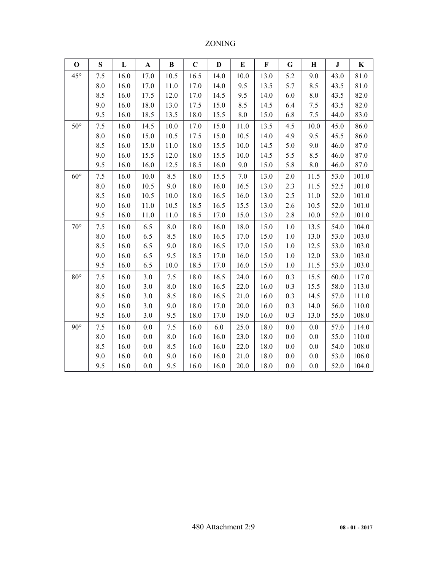| $\mathbf 0$  | S       | L    | $\mathbf A$ | $\bf{B}$        | $\mathbf C$ | $\mathbf{D}$ | E       | $\mathbf F$ | G       | $\mathbf H$ | ${\bf J}$ | $\bf K$ |
|--------------|---------|------|-------------|-----------------|-------------|--------------|---------|-------------|---------|-------------|-----------|---------|
| $45^{\circ}$ | 7.5     | 16.0 | 17.0        | 10.5            | 16.5        | 14.0         | $10.0$  | 13.0        | 5.2     | 9.0         | 43.0      | 81.0    |
|              | 8.0     | 16.0 | 17.0        | 11.0            | 17.0        | 14.0         | 9.5     | 13.5        | 5.7     | 8.5         | 43.5      | 81.0    |
|              | 8.5     | 16.0 | 17.5        | 12.0            | 17.0        | 14.5         | 9.5     | 14.0        | 6.0     | 8.0         | 43.5      | 82.0    |
|              | 9.0     | 16.0 | 18.0        | 13.0            | 17.5        | 15.0         | 8.5     | 14.5        | 6.4     | 7.5         | 43.5      | 82.0    |
|              | 9.5     | 16.0 | 18.5        | 13.5            | 18.0        | 15.5         | $8.0\,$ | 15.0        | 6.8     | 7.5         | 44.0      | 83.0    |
| $50^{\circ}$ | 7.5     | 16.0 | 14.5        | 10.0            | 17.0        | 15.0         | 11.0    | 13.5        | 4.5     | 10.0        | 45.0      | 86.0    |
|              | 8.0     | 16.0 | 15.0        | 10.5            | 17.5        | 15.0         | 10.5    | 14.0        | 4.9     | 9.5         | 45.5      | 86.0    |
|              | 8.5     | 16.0 | 15.0        | 11.0            | 18.0        | 15.5         | 10.0    | 14.5        | 5.0     | 9.0         | 46.0      | 87.0    |
|              | 9.0     | 16.0 | 15.5        | 12.0            | 18.0        | 15.5         | 10.0    | 14.5        | 5.5     | 8.5         | 46.0      | 87.0    |
|              | 9.5     | 16.0 | 16.0        | 12.5            | 18.5        | 16.0         | 9.0     | 15.0        | 5.8     | $8.0\,$     | 46.0      | 87.0    |
| $60^{\circ}$ | 7.5     | 16.0 | 10.0        | 8.5             | 18.0        | 15.5         | 7.0     | 13.0        | 2.0     | 11.5        | 53.0      | 101.0   |
|              | 8.0     | 16.0 | 10.5        | 9.0             | 18.0        | 16.0         | 16.5    | 13.0        | 2.3     | 11.5        | 52.5      | 101.0   |
|              | 8.5     | 16.0 | 10.5        | 10.0            | 18.0        | 16.5         | 16.0    | 13.0        | 2.5     | 11.0        | 52.0      | 101.0   |
|              | 9.0     | 16.0 | 11.0        | 10.5            | 18.5        | 16.5         | 15.5    | 13.0        | 2.6     | 10.5        | 52.0      | 101.0   |
|              | 9.5     | 16.0 | 11.0        | 11.0            | 18.5        | 17.0         | 15.0    | 13.0        | 2.8     | 10.0        | 52.0      | 101.0   |
| $70^{\circ}$ | 7.5     | 16.0 | 6.5         | 8.0             | 18.0        | 16.0         | 18.0    | 15.0        | 1.0     | 13.5        | 54.0      | 104.0   |
|              | 8.0     | 16.0 | 6.5         | 8.5             | 18.0        | 16.5         | 17.0    | 15.0        | 1.0     | 13.0        | 53.0      | 103.0   |
|              | 8.5     | 16.0 | 6.5         | 9.0             | 18.0        | 16.5         | 17.0    | 15.0        | 1.0     | 12.5        | 53.0      | 103.0   |
|              | 9.0     | 16.0 | 6.5         | 9.5             | 18.5        | 17.0         | 16.0    | 15.0        | 1.0     | 12.0        | 53.0      | 103.0   |
|              | 9.5     | 16.0 | 6.5         | 10.0            | 18.5        | 17.0         | 16.0    | 15.0        | 1.0     | 11.5        | 53.0      | 103.0   |
| $80^{\circ}$ | 7.5     | 16.0 | 3.0         | 7.5             | 18.0        | 16.5         | 24.0    | 16.0        | 0.3     | 15.5        | 60.0      | 117.0   |
|              | $8.0\,$ | 16.0 | $3.0$       | $\!\!\!\!\!8.0$ | 18.0        | 16.5         | 22.0    | 16.0        | 0.3     | 15.5        | 58.0      | 113.0   |
|              | 8.5     | 16.0 | 3.0         | 8.5             | 18.0        | 16.5         | 21.0    | 16.0        | 0.3     | 14.5        | 57.0      | 111.0   |
|              | 9.0     | 16.0 | 3.0         | 9.0             | 18.0        | 17.0         | 20.0    | 16.0        | 0.3     | 14.0        | 56.0      | 110.0   |
|              | 9.5     | 16.0 | 3.0         | 9.5             | 18.0        | 17.0         | 19.0    | 16.0        | 0.3     | 13.0        | 55.0      | 108.0   |
| $90^\circ$   | 7.5     | 16.0 | $0.0\,$     | 7.5             | 16.0        | 6.0          | 25.0    | 18.0        | 0.0     | $0.0\,$     | 57.0      | 114.0   |
|              | $8.0\,$ | 16.0 | $0.0\,$     | 8.0             | 16.0        | 16.0         | 23.0    | 18.0        | $0.0\,$ | $0.0\,$     | 55.0      | 110.0   |
|              | 8.5     | 16.0 | $0.0\,$     | 8.5             | 16.0        | 16.0         | 22.0    | 18.0        | 0.0     | $0.0\,$     | 54.0      | 108.0   |
|              | 9.0     | 16.0 | $0.0\,$     | 9.0             | 16.0        | 16.0         | 21.0    | 18.0        | 0.0     | $0.0\,$     | 53.0      | 106.0   |
|              | 9.5     | 16.0 | $0.0\,$     | 9.5             | 16.0        | 16.0         | 20.0    | 18.0        | 0.0     | 0.0         | 52.0      | 104.0   |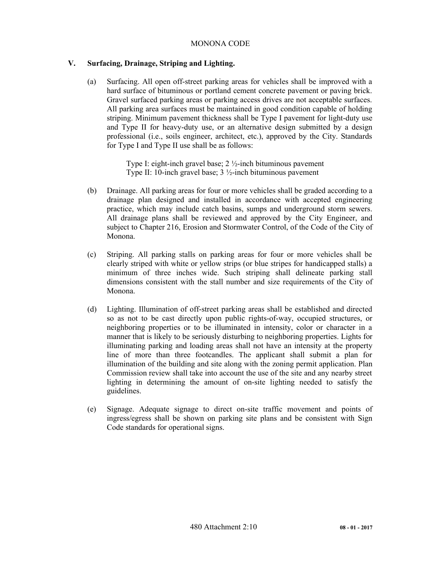# **V. Surfacing, Drainage, Striping and Lighting.**

(a) Surfacing. All open off-street parking areas for vehicles shall be improved with a hard surface of bituminous or portland cement concrete pavement or paving brick. Gravel surfaced parking areas or parking access drives are not acceptable surfaces. All parking area surfaces must be maintained in good condition capable of holding striping. Minimum pavement thickness shall be Type I pavement for light-duty use and Type II for heavy-duty use, or an alternative design submitted by a design professional (i.e., soils engineer, architect, etc.), approved by the City. Standards for Type I and Type II use shall be as follows:

> Type I: eight-inch gravel base;  $2\frac{1}{2}$ -inch bituminous pavement Type II: 10-inch gravel base;  $3\frac{1}{2}$ -inch bituminous pavement

- (b) Drainage. All parking areas for four or more vehicles shall be graded according to a drainage plan designed and installed in accordance with accepted engineering practice, which may include catch basins, sumps and underground storm sewers. All drainage plans shall be reviewed and approved by the City Engineer, and subject to Chapter 216, Erosion and Stormwater Control, of the Code of the City of Monona.
- (c) Striping. All parking stalls on parking areas for four or more vehicles shall be clearly striped with white or yellow strips (or blue stripes for handicapped stalls) a minimum of three inches wide. Such striping shall delineate parking stall dimensions consistent with the stall number and size requirements of the City of Monona.
- (d) Lighting. Illumination of off-street parking areas shall be established and directed so as not to be cast directly upon public rights-of-way, occupied structures, or neighboring properties or to be illuminated in intensity, color or character in a manner that is likely to be seriously disturbing to neighboring properties. Lights for illuminating parking and loading areas shall not have an intensity at the property line of more than three footcandles. The applicant shall submit a plan for illumination of the building and site along with the zoning permit application. Plan Commission review shall take into account the use of the site and any nearby street lighting in determining the amount of on-site lighting needed to satisfy the guidelines.
- (e) Signage. Adequate signage to direct on-site traffic movement and points of ingress/egress shall be shown on parking site plans and be consistent with Sign Code standards for operational signs.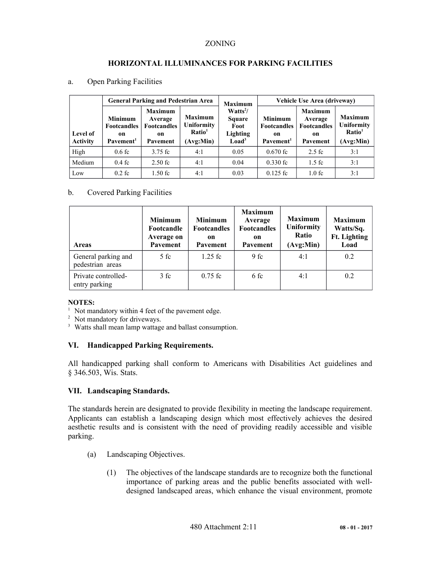# **HORIZONTAL ILLUMINANCES FOR PARKING FACILITIES**

a. Open Parking Facilities

|                             |                                                                     | <b>General Parking and Pedestrian Area</b>                        |                                                                 | <b>Maximum</b>                                                                 | Vehicle Use Area (driveway)                                         |                                                                   |                                                                        |  |  |
|-----------------------------|---------------------------------------------------------------------|-------------------------------------------------------------------|-----------------------------------------------------------------|--------------------------------------------------------------------------------|---------------------------------------------------------------------|-------------------------------------------------------------------|------------------------------------------------------------------------|--|--|
| Level of<br><b>Activity</b> | <b>Minimum</b><br><b>Footcandles</b><br>on<br>Pavement <sup>1</sup> | <b>Maximum</b><br>Average<br><b>Footcandles</b><br>on<br>Pavement | <b>Maximum</b><br>Uniformity<br>Ratio <sup>1</sup><br>(Avg:Min) | Watts <sup>2</sup> /<br>Square<br>Foot<br><b>Lighting</b><br>Load <sup>3</sup> | <b>Minimum</b><br><b>Footcandles</b><br>on<br>Pavement <sup>1</sup> | <b>Maximum</b><br>Average<br><b>Footcandles</b><br>on<br>Pavement | <b>Maximum</b><br><b>Uniformity</b><br>Ratio <sup>1</sup><br>(Avg:Min) |  |  |
| High                        | $0.6$ fc                                                            | 3.75 fc                                                           | 4:1                                                             | 0.05                                                                           | $0.670$ fc                                                          | $2.5$ fc                                                          | 3:1                                                                    |  |  |
| Medium                      | $0.4$ fc                                                            | $2.50$ fc                                                         | 4:1                                                             | 0.04                                                                           | $0.330$ fc                                                          | $1.5 \text{ } \mathrm{fc}$                                        | 3:1                                                                    |  |  |
| Low                         | $0.2$ fc                                                            | $1.50$ fc                                                         | 4:1                                                             | 0.03                                                                           | $0.125$ fc                                                          | $1.0 \text{ } \mathrm{fc}$                                        | 3:1                                                                    |  |  |

# b. Covered Parking Facilities

| <b>Areas</b>                            | <b>Minimum</b><br>Footcandle<br>Average on<br>Pavement | <b>Minimum</b><br><b>Footcandles</b><br>on<br>Pavement | <b>Maximum</b><br>Average<br><b>Footcandles</b><br>on<br>Pavement | <b>Maximum</b><br><b>Uniformity</b><br>Ratio<br>(Avg:Min) | <b>Maximum</b><br>Watts/Sq.<br><b>Ft.</b> Lighting<br>Load |
|-----------------------------------------|--------------------------------------------------------|--------------------------------------------------------|-------------------------------------------------------------------|-----------------------------------------------------------|------------------------------------------------------------|
| General parking and<br>pedestrian areas | 5 fc                                                   | $1.25$ fc                                              | 9 fc                                                              | 4:1                                                       | 0.2                                                        |
| Private controlled-<br>entry parking    | 3 f c                                                  | $0.75$ fc                                              | 6 fc                                                              | 4:1                                                       | 0.2                                                        |

# **NOTES:**

<sup>1</sup> Not mandatory within 4 feet of the pavement edge.

<sup>2</sup> Not mandatory for driveways.

<sup>3</sup> Watts shall mean lamp wattage and ballast consumption.

## **VI. Handicapped Parking Requirements.**

All handicapped parking shall conform to Americans with Disabilities Act guidelines and § 346.503, Wis. Stats.

## **VII. Landscaping Standards.**

The standards herein are designated to provide flexibility in meeting the landscape requirement. Applicants can establish a landscaping design which most effectively achieves the desired aesthetic results and is consistent with the need of providing readily accessible and visible parking.

- (a) Landscaping Objectives.
	- (1) The objectives of the landscape standards are to recognize both the functional importance of parking areas and the public benefits associated with welldesigned landscaped areas, which enhance the visual environment, promote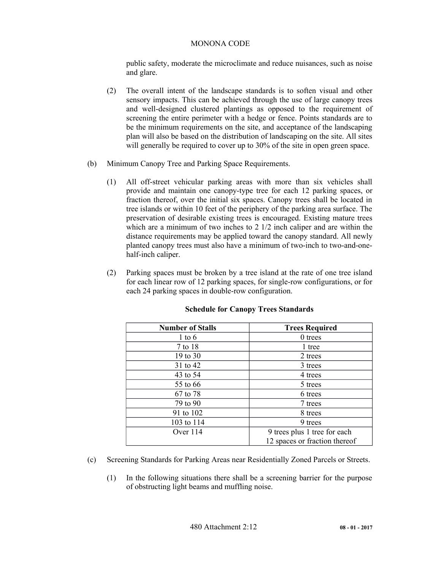public safety, moderate the microclimate and reduce nuisances, such as noise and glare.

- (2) The overall intent of the landscape standards is to soften visual and other sensory impacts. This can be achieved through the use of large canopy trees and well-designed clustered plantings as opposed to the requirement of screening the entire perimeter with a hedge or fence. Points standards are to be the minimum requirements on the site, and acceptance of the landscaping plan will also be based on the distribution of landscaping on the site. All sites will generally be required to cover up to 30% of the site in open green space.
- (b) Minimum Canopy Tree and Parking Space Requirements.
	- (1) All off-street vehicular parking areas with more than six vehicles shall provide and maintain one canopy-type tree for each 12 parking spaces, or fraction thereof, over the initial six spaces. Canopy trees shall be located in tree islands or within 10 feet of the periphery of the parking area surface. The preservation of desirable existing trees is encouraged. Existing mature trees which are a minimum of two inches to 2 1/2 inch caliper and are within the distance requirements may be applied toward the canopy standard. All newly planted canopy trees must also have a minimum of two-inch to two-and-onehalf-inch caliper.
	- (2) Parking spaces must be broken by a tree island at the rate of one tree island for each linear row of 12 parking spaces, for single-row configurations, or for each 24 parking spaces in double-row configuration.

| <b>Number of Stalls</b> | <b>Trees Required</b>         |
|-------------------------|-------------------------------|
| $1$ to $6$              | 0 trees                       |
| 7 to 18                 | 1 tree                        |
| 19 to 30                | 2 trees                       |
| 31 to 42                | 3 trees                       |
| 43 to 54                | 4 trees                       |
| 55 to 66                | 5 trees                       |
| 67 to 78                | 6 trees                       |
| 79 to 90                | 7 trees                       |
| 91 to 102               | 8 trees                       |
| 103 to 114              | 9 trees                       |
| Over $114$              | 9 trees plus 1 tree for each  |
|                         | 12 spaces or fraction thereof |

## **Schedule for Canopy Trees Standards**

- (c) Screening Standards for Parking Areas near Residentially Zoned Parcels or Streets.
	- (1) In the following situations there shall be a screening barrier for the purpose of obstructing light beams and muffling noise.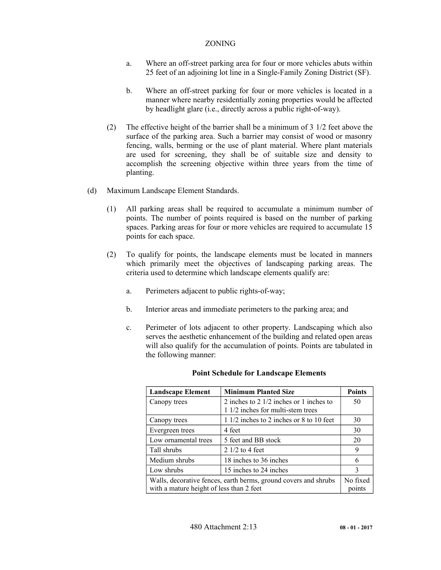- a. Where an off-street parking area for four or more vehicles abuts within 25 feet of an adjoining lot line in a Single-Family Zoning District (SF).
- b. Where an off-street parking for four or more vehicles is located in a manner where nearby residentially zoning properties would be affected by headlight glare (i.e., directly across a public right-of-way).
- (2) The effective height of the barrier shall be a minimum of 3 1/2 feet above the surface of the parking area. Such a barrier may consist of wood or masonry fencing, walls, berming or the use of plant material. Where plant materials are used for screening, they shall be of suitable size and density to accomplish the screening objective within three years from the time of planting.
- (d) Maximum Landscape Element Standards.
	- (1) All parking areas shall be required to accumulate a minimum number of points. The number of points required is based on the number of parking spaces. Parking areas for four or more vehicles are required to accumulate 15 points for each space.
	- (2) To qualify for points, the landscape elements must be located in manners which primarily meet the objectives of landscaping parking areas. The criteria used to determine which landscape elements qualify are:
		- a. Perimeters adjacent to public rights-of-way;
		- b. Interior areas and immediate perimeters to the parking area; and
		- c. Perimeter of lots adjacent to other property. Landscaping which also serves the aesthetic enhancement of the building and related open areas will also qualify for the accumulation of points. Points are tabulated in the following manner:

| <b>Landscape Element</b>                                                                                    | <b>Minimum Planted Size</b>                                                    | <b>Points</b> |  |  |  |
|-------------------------------------------------------------------------------------------------------------|--------------------------------------------------------------------------------|---------------|--|--|--|
| Canopy trees                                                                                                | 2 inches to 2 $1/2$ inches or 1 inches to<br>1 1/2 inches for multi-stem trees | 50            |  |  |  |
| Canopy trees                                                                                                | 1 1/2 inches to 2 inches or 8 to 10 feet                                       | 30            |  |  |  |
| Evergreen trees                                                                                             | 4 feet                                                                         | 30            |  |  |  |
| Low ornamental trees                                                                                        | 5 feet and BB stock                                                            | 20            |  |  |  |
| Tall shrubs                                                                                                 | $21/2$ to 4 feet                                                               | 9             |  |  |  |
| Medium shrubs                                                                                               | 18 inches to 36 inches                                                         | 6             |  |  |  |
| Low shrubs                                                                                                  | 15 inches to 24 inches                                                         | 3             |  |  |  |
| Walls, decorative fences, earth berms, ground covers and shrubs<br>with a mature height of less than 2 feet |                                                                                |               |  |  |  |

#### **Point Schedule for Landscape Elements**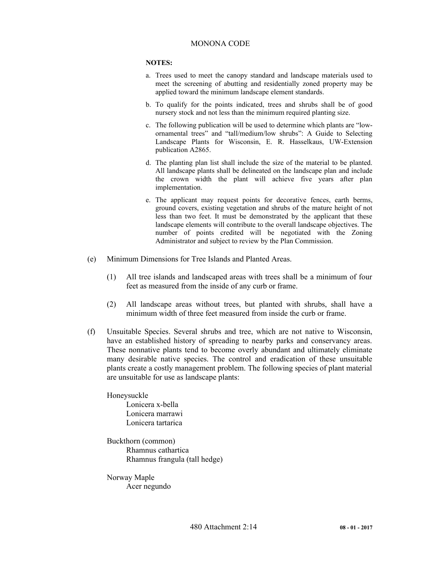#### **NOTES:**

- a. Trees used to meet the canopy standard and landscape materials used to meet the screening of abutting and residentially zoned property may be applied toward the minimum landscape element standards.
- b. To qualify for the points indicated, trees and shrubs shall be of good nursery stock and not less than the minimum required planting size.
- c. The following publication will be used to determine which plants are "lowornamental trees" and "tall/medium/low shrubs": A Guide to Selecting Landscape Plants for Wisconsin, E. R. Hasselkaus, UW-Extension publication A2865.
- d. The planting plan list shall include the size of the material to be planted. All landscape plants shall be delineated on the landscape plan and include the crown width the plant will achieve five years after plan implementation.
- e. The applicant may request points for decorative fences, earth berms, ground covers, existing vegetation and shrubs of the mature height of not less than two feet. It must be demonstrated by the applicant that these landscape elements will contribute to the overall landscape objectives. The number of points credited will be negotiated with the Zoning Administrator and subject to review by the Plan Commission.
- (e) Minimum Dimensions for Tree Islands and Planted Areas.
	- (1) All tree islands and landscaped areas with trees shall be a minimum of four feet as measured from the inside of any curb or frame.
	- (2) All landscape areas without trees, but planted with shrubs, shall have a minimum width of three feet measured from inside the curb or frame.
- (f) Unsuitable Species. Several shrubs and tree, which are not native to Wisconsin, have an established history of spreading to nearby parks and conservancy areas. These nonnative plants tend to become overly abundant and ultimately eliminate many desirable native species. The control and eradication of these unsuitable plants create a costly management problem. The following species of plant material are unsuitable for use as landscape plants:

Honeysuckle Lonicera x-bella Lonicera marrawi Lonicera tartarica

Buckthorn (common) Rhamnus cathartica Rhamnus frangula (tall hedge)

Norway Maple Acer negundo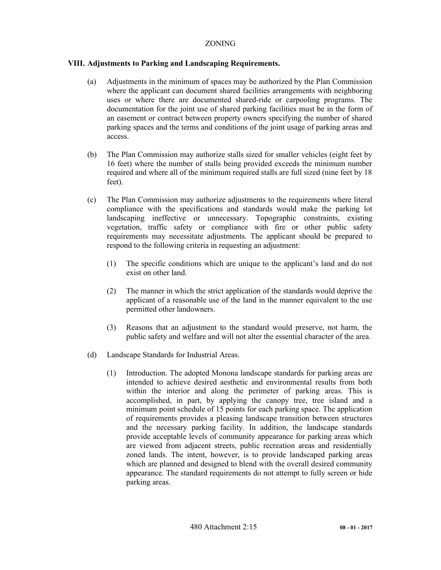# **VIII. Adjustments to Parking and Landscaping Requirements.**

- (a) Adjustments in the minimum of spaces may be authorized by the Plan Commission where the applicant can document shared facilities arrangements with neighboring uses or where there are documented shared-ride or carpooling programs. The documentation for the joint use of shared parking facilities must be in the form of an easement or contract between property owners specifying the number of shared parking spaces and the terms and conditions of the joint usage of parking areas and access.
- (b) The Plan Commission may authorize stalls sized for smaller vehicles (eight feet by 16 feet) where the number of stalls being provided exceeds the minimum number required and where all of the minimum required stalls are full sized (nine feet by 18 feet).
- (c) The Plan Commission may authorize adjustments to the requirements where literal compliance with the specifications and standards would make the parking lot landscaping ineffective or unnecessary. Topographic constraints, existing vegetation, traffic safety or compliance with fire or other public safety requirements may necessitate adjustments. The applicant should be prepared to respond to the following criteria in requesting an adjustment:
	- (1) The specific conditions which are unique to the applicant's land and do not exist on other land.
	- (2) The manner in which the strict application of the standards would deprive the applicant of a reasonable use of the land in the manner equivalent to the use permitted other landowners.
	- (3) Reasons that an adjustment to the standard would preserve, not harm, the public safety and welfare and will not alter the essential character of the area.
- (d) Landscape Standards for Industrial Areas.
	- (1) Introduction. The adopted Monona landscape standards for parking areas are intended to achieve desired aesthetic and environmental results from both within the interior and along the perimeter of parking areas. This is accomplished, in part, by applying the canopy tree, tree island and a minimum point schedule of 15 points for each parking space. The application of requirements provides a pleasing landscape transition between structures and the necessary parking facility. In addition, the landscape standards provide acceptable levels of community appearance for parking areas which are viewed from adjacent streets, public recreation areas and residentially zoned lands. The intent, however, is to provide landscaped parking areas which are planned and designed to blend with the overall desired community appearance. The standard requirements do not attempt to fully screen or hide parking areas.